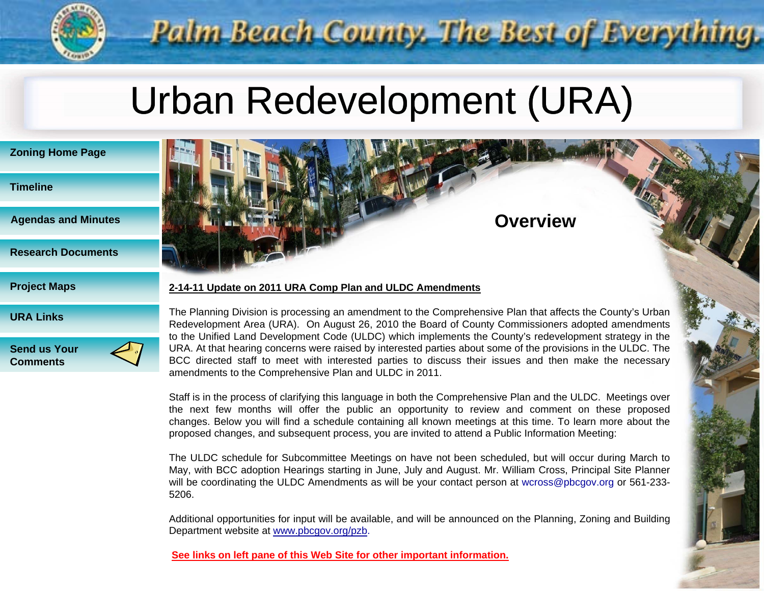

# Urban Redevelopment (URA)

Palm-Beach County. The Best of Everything.

| <b>Zoning Home Page</b>    |
|----------------------------|
| <b>Timeline</b>            |
| <b>Agendas and Minutes</b> |
| <b>Research Documents</b>  |
| <b>Project Maps</b>        |
| <b>URA Links</b>           |





#### **2-14-11 Update on 2011 URA Comp Plan and ULDC Amendments**

The Planning Division is processing an amendment to the Comprehensive Plan that affects the County's Urban Redevelopment Area (URA). On August 26, 2010 the Board of County Commissioners adopted amendments to the Unified Land Development Code (ULDC) which implements the County's redevelopment strategy in the URA. At that hearing concerns were raised by interested parties about some of the provisions in the ULDC. The BCC directed staff to meet with interested parties to discuss their issues and then make the necessary amendments to the Comprehensive Plan and ULDC in 2011.

**A** Overview

Staff is in the process of clarifying this language in both the Comprehensive Plan and the ULDC. Meetings over the next few months will offer the public an opportunity to review and comment on these proposed changes. Below you will find <sup>a</sup> schedule containing all known meetings at this time. To learn more about the proposed changes, and subsequent process, you are invited to attend <sup>a</sup> Public Information Meeting:

The ULDC schedule for Subcommittee Meetings on have not been scheduled, but will occur during March to May, with BCC adoption Hearings starting in June, July and August. Mr. William Cross, Principal Site Planner will be coordinating the ULDC Amendments as will be your contact person at [wcross@pbcgov.org](mailto:wcross@pbcgov.org) or 561-233- 5206.

Additional opportunities for input will be available, and will be announced on the Planning, Zoning and Building Department website at [www.pbcgov.org/pzb.](http://www.pbcgov.com/)

See links on left pane of this Web Site for other important information.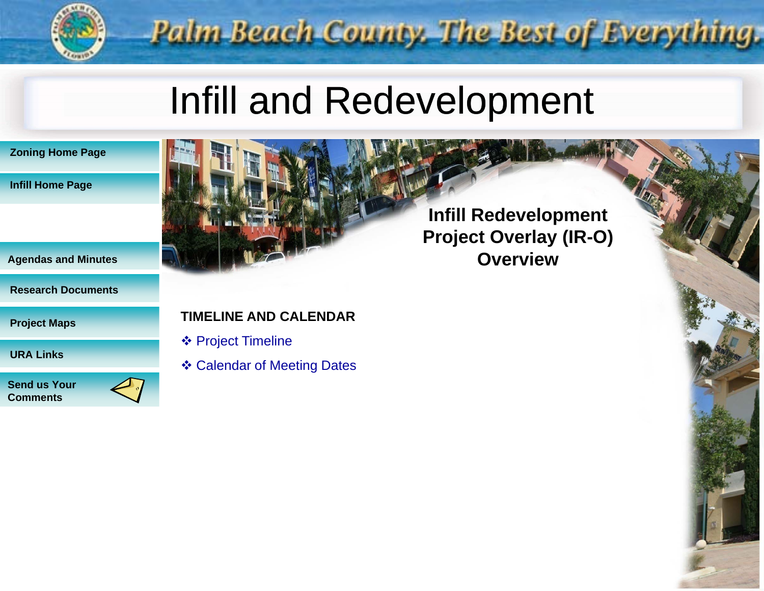

## Infill and Redevelopment





#### **Research Documents**

**Project Maps**

**URA Links**

**Send us Your Comments**

## **TIMELINE AND CALENDAR**

- **❖ Project Timeline**
- ❖ Calendar of Meeting Dates

**Infill Redevelopment Infill Project Overlay (IR-O) Agendas and Minutes Overview**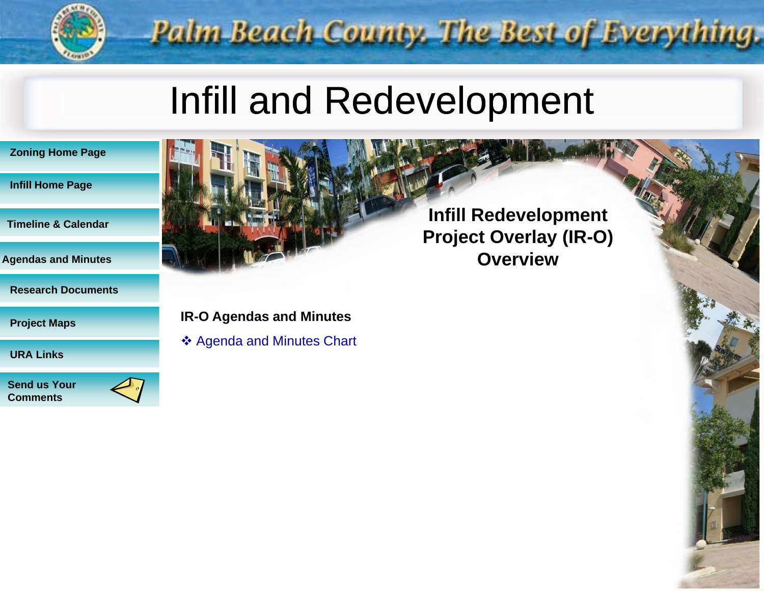

## Infill and Redevelopment

|  |  | <b>Zoning Home Page</b> |  |  |
|--|--|-------------------------|--|--|
|  |  |                         |  |  |

#### **Infill Home Page**

**Ti li & C l d Calendar**

**Agendas and Minutes** 

**Research Documents**

**Project Maps**

**URA Links**

**Send us Your Comments**



### **IR-O Agendas and Minutes**

❖ Agenda and Minutes Chart

**Project Overlay (IR-O) Overview**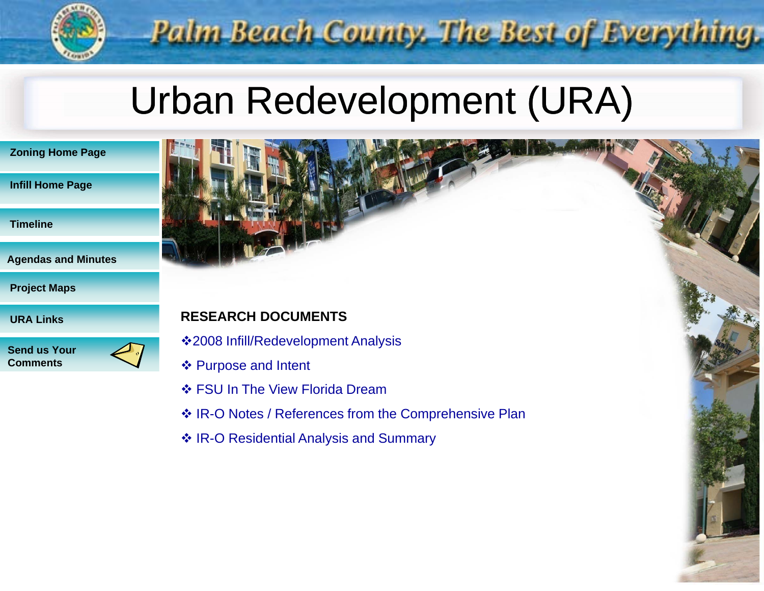

# Urban Redevelopment (URA)

| <b>Zoning Home Page</b> |  |
|-------------------------|--|
|-------------------------|--|

#### **Infill Home Page**

**Ti li me ne**

**Agendas and Minutes**

**Project Maps**

**URA Links**

**Send us Your Comments**

## **RESEARCH DOCUMENTS**

2008 Infill/Redevelopment Analysis

- ❖ Purpose and Intent
- ❖ FSU In The View Florida Dream
- ❖ IR-O Notes / References from the Comprehensive Plan
- ❖ IR-O Residential Analysis and Summary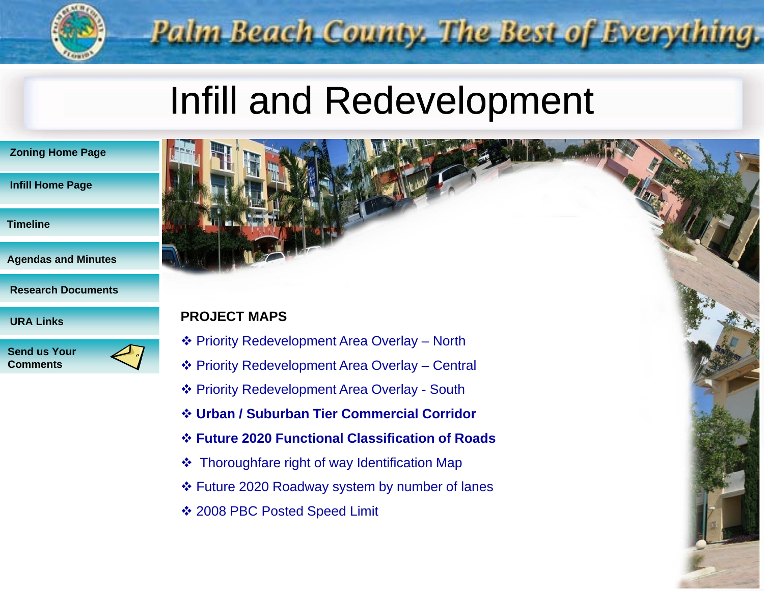

## Infill and Redevelopment

| <b>Zoning Home Page</b> |  |  |
|-------------------------|--|--|
|-------------------------|--|--|

#### **Infill Home Page**

- **Ti li me ne**
- **Agendas and Minutes**
- **Research Documents**

**Send us Your Comments**

### **PROJECT MAPS**

- Priority Redevelopment Area Overlay North
- Priority Redevelopment Area Overlay Central
- Priority Redevelopment Area Overlay South
- **Urban / Suburban Tier Commercial Corridor**
- **Future 2020 Functional unctional Classification lassification of Roads**
- Thoroughfare right of way Identification Map
- Future 2020 Roadway system by number of lanes
- 2008 PBC Posted Speed Limit